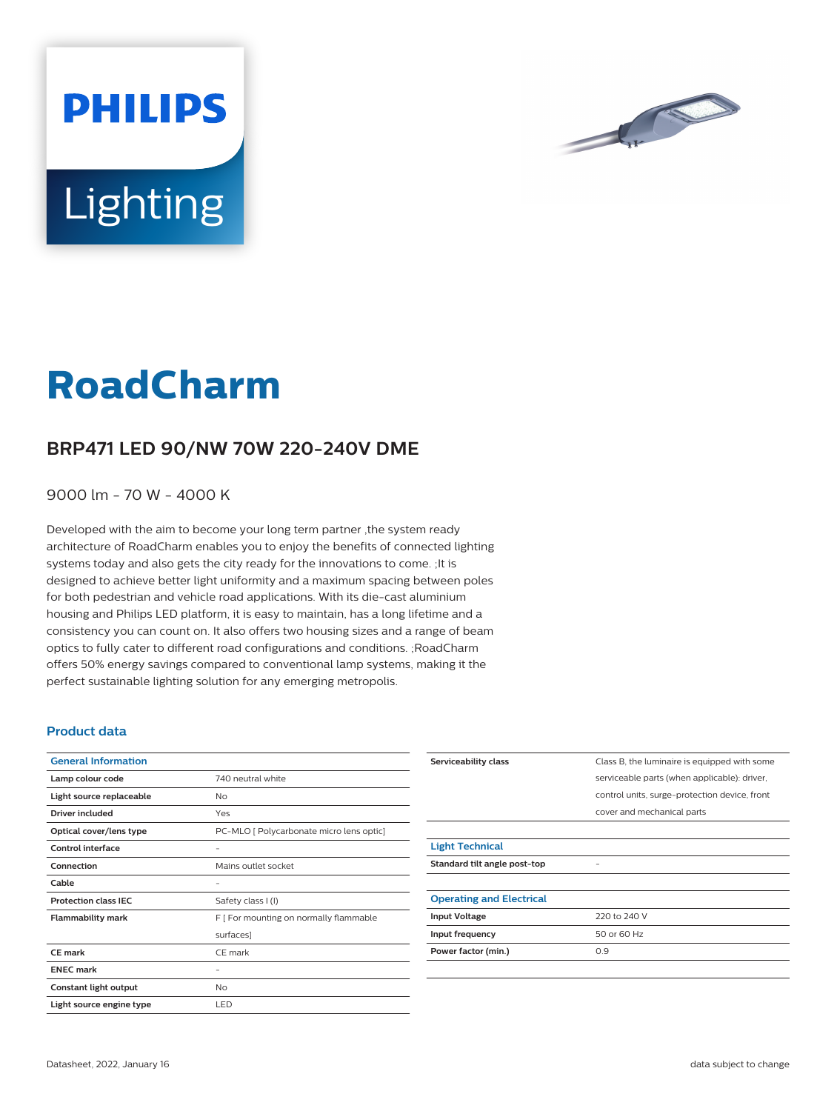

# **Lighting**

**PHILIPS** 

# **RoadCharm**

## **BRP471 LED 90/NW 70W 220-240V DME**

9000 lm - 70 W - 4000 K

Developed with the aim to become your long term partner ,the system ready architecture of RoadCharm enables you to enjoy the benefits of connected lighting systems today and also gets the city ready for the innovations to come. ;It is designed to achieve better light uniformity and a maximum spacing between poles for both pedestrian and vehicle road applications. With its die-cast aluminium housing and Philips LED platform, it is easy to maintain, has a long lifetime and a consistency you can count on. It also offers two housing sizes and a range of beam optics to fully cater to different road configurations and conditions. ;RoadCharm offers 50% energy savings compared to conventional lamp systems, making it the perfect sustainable lighting solution for any emerging metropolis.

#### **Product data**

| <b>General Information</b>  |                                          |
|-----------------------------|------------------------------------------|
| Lamp colour code            | 740 neutral white                        |
| Light source replaceable    | No                                       |
| Driver included             | Yes                                      |
| Optical cover/lens type     | PC-MLO [ Polycarbonate micro lens optic] |
| Control interface           |                                          |
| Connection                  | Mains outlet socket                      |
| Cable                       | -                                        |
| <b>Protection class IEC</b> | Safety class I (I)                       |
| <b>Flammability mark</b>    | F [ For mounting on normally flammable   |
|                             | surfaces]                                |
| CE mark                     | CE mark                                  |
| <b>ENEC mark</b>            |                                          |
| Constant light output       | No                                       |
| Light source engine type    | LED                                      |

| Serviceability class            | Class B, the luminaire is equipped with some  |
|---------------------------------|-----------------------------------------------|
|                                 | serviceable parts (when applicable): driver,  |
|                                 | control units, surge-protection device, front |
|                                 | cover and mechanical parts                    |
|                                 |                                               |
| <b>Light Technical</b>          |                                               |
| Standard tilt angle post-top    |                                               |
|                                 |                                               |
| <b>Operating and Electrical</b> |                                               |
| <b>Input Voltage</b>            | 220 to 240 V                                  |
| Input frequency                 | 50 or 60 Hz                                   |
| Power factor (min.)             | 0.9                                           |
|                                 |                                               |